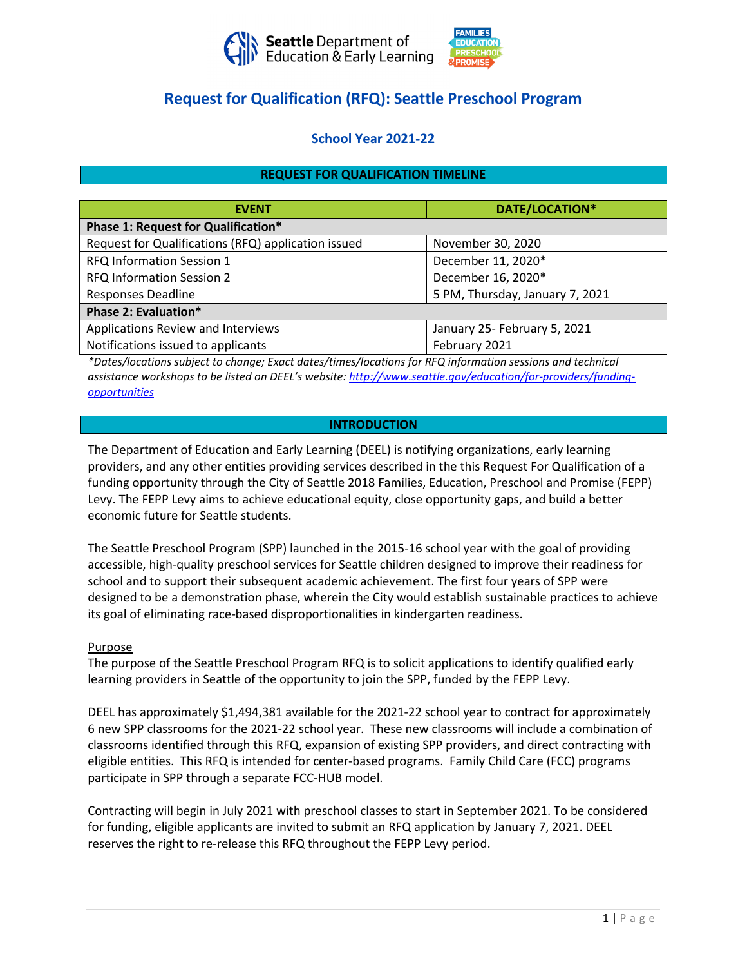



# **Request for Qualification (RFQ): Seattle Preschool Program**

## **School Year 2021-22**

## **REQUEST FOR QUALIFICATION TIMELINE**

| <b>EVENT</b>                                        | DATE/LOCATION*                  |  |
|-----------------------------------------------------|---------------------------------|--|
| Phase 1: Request for Qualification*                 |                                 |  |
| Request for Qualifications (RFQ) application issued | November 30, 2020               |  |
| <b>RFQ Information Session 1</b>                    | December 11, 2020*              |  |
| RFQ Information Session 2                           | December 16, 2020*              |  |
| <b>Responses Deadline</b>                           | 5 PM, Thursday, January 7, 2021 |  |
| Phase 2: Evaluation*                                |                                 |  |
| Applications Review and Interviews                  | January 25- February 5, 2021    |  |
| Notifications issued to applicants                  | February 2021                   |  |

*\*Dates/locations subject to change; Exact dates/times/locations for RFQ information sessions and technical assistance workshops to be listed on DEEL's website: [http://www.seattle.gov/education/for-providers/funding](http://www.seattle.gov/education/for-providers/funding-opportunities)[opportunities](http://www.seattle.gov/education/for-providers/funding-opportunities)*

## **INTRODUCTION**

The Department of Education and Early Learning (DEEL) is notifying organizations, early learning providers, and any other entities providing services described in the this Request For Qualification of a funding opportunity through the City of Seattle 2018 Families, Education, Preschool and Promise (FEPP) Levy. The FEPP Levy aims to achieve educational equity, close opportunity gaps, and build a better economic future for Seattle students.

The Seattle Preschool Program (SPP) launched in the 2015-16 school year with the goal of providing accessible, high-quality preschool services for Seattle children designed to improve their readiness for school and to support their subsequent academic achievement. The first four years of SPP were designed to be a demonstration phase, wherein the City would establish sustainable practices to achieve its goal of eliminating race-based disproportionalities in kindergarten readiness.

#### Purpose

The purpose of the Seattle Preschool Program RFQ is to solicit applications to identify qualified early learning providers in Seattle of the opportunity to join the SPP, funded by the FEPP Levy.

DEEL has approximately \$1,494,381 available for the 2021-22 school year to contract for approximately 6 new SPP classrooms for the 2021-22 school year. These new classrooms will include a combination of classrooms identified through this RFQ, expansion of existing SPP providers, and direct contracting with eligible entities. This RFQ is intended for center-based programs. Family Child Care (FCC) programs participate in SPP through a separate FCC-HUB model.

Contracting will begin in July 2021 with preschool classes to start in September 2021. To be considered for funding, eligible applicants are invited to submit an RFQ application by January 7, 2021. DEEL reserves the right to re-release this RFQ throughout the FEPP Levy period.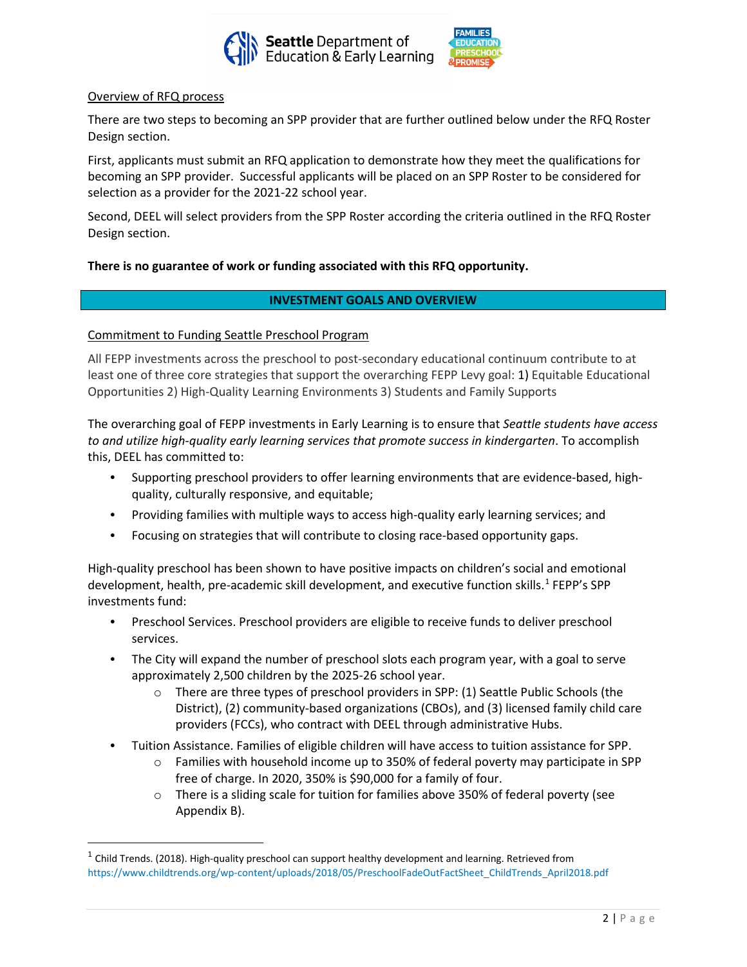



#### Overview of RFQ process

There are two steps to becoming an SPP provider that are further outlined below under the RFQ Roster Design section.

First, applicants must submit an RFQ application to demonstrate how they meet the qualifications for becoming an SPP provider. Successful applicants will be placed on an SPP Roster to be considered for selection as a provider for the 2021-22 school year.

Second, DEEL will select providers from the SPP Roster according the criteria outlined in the RFQ Roster Design section.

## **There is no guarantee of work or funding associated with this RFQ opportunity.**

## **INVESTMENT GOALS AND OVERVIEW**

#### Commitment to Funding Seattle Preschool Program

All FEPP investments across the preschool to post-secondary educational continuum contribute to at least one of three core strategies that support the overarching FEPP Levy goal: 1) Equitable Educational Opportunities 2) High-Quality Learning Environments 3) Students and Family Supports

The overarching goal of FEPP investments in Early Learning is to ensure that *Seattle students have access to and utilize high-quality early learning services that promote success in kindergarten*. To accomplish this, DEEL has committed to:

- Supporting preschool providers to offer learning environments that are evidence-based, highquality, culturally responsive, and equitable;
- Providing families with multiple ways to access high-quality early learning services; and
- Focusing on strategies that will contribute to closing race-based opportunity gaps.

High-quality preschool has been shown to have positive impacts on children's social and emotional development, health, pre-academic skill development, and executive function skills.<sup>[1](#page-1-0)</sup> FEPP's SPP investments fund:

- Preschool Services. Preschool providers are eligible to receive funds to deliver preschool services.
- The City will expand the number of preschool slots each program year, with a goal to serve approximately 2,500 children by the 2025-26 school year.
	- o There are three types of preschool providers in SPP: (1) Seattle Public Schools (the District), (2) community-based organizations (CBOs), and (3) licensed family child care providers (FCCs), who contract with DEEL through administrative Hubs.
- Tuition Assistance. Families of eligible children will have access to tuition assistance for SPP.
	- o Families with household income up to 350% of federal poverty may participate in SPP free of charge. In 2020, 350% is \$90,000 for a family of four.
	- o There is a sliding scale for tuition for families above 350% of federal poverty (see Appendix B).

<span id="page-1-0"></span> $1$  Child Trends. (2018). High-quality preschool can support healthy development and learning. Retrieved from https://www.childtrends.org/wp-content/uploads/2018/05/PreschoolFadeOutFactSheet\_ChildTrends\_April2018.pdf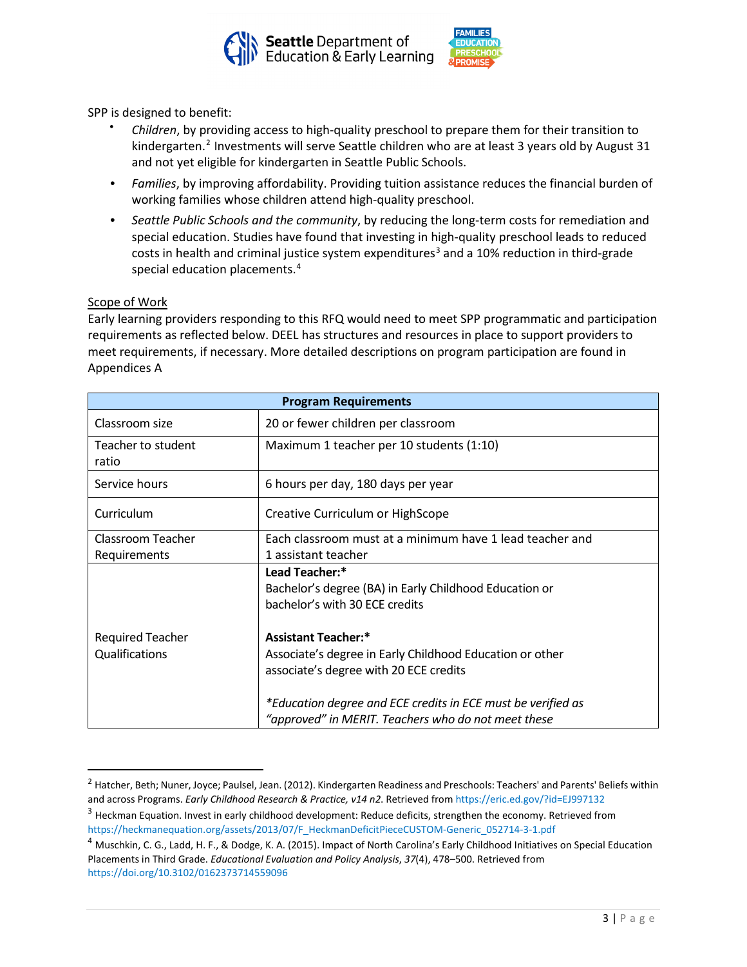



SPP is designed to benefit:

- *Children*, by providing access to high-quality preschool to prepare them for their transition to kindergarten.<sup>[2](#page-2-0)</sup> Investments will serve Seattle children who are at least 3 years old by August 31 and not yet eligible for kindergarten in Seattle Public Schools.
- *Families*, by improving affordability. Providing tuition assistance reduces the financial burden of working families whose children attend high-quality preschool.
- *Seattle Public Schools and the community*, by reducing the long-term costs for remediation and special education. Studies have found that investing in high-quality preschool leads to reduced costs in health and criminal justice system expenditures<sup>[3](#page-2-1)</sup> and a 10% reduction in third-grade special education placements.<sup>[4](#page-2-2)</sup>

## Scope of Work

Early learning providers responding to this RFQ would need to meet SPP programmatic and participation requirements as reflected below. DEEL has structures and resources in place to support providers to meet requirements, if necessary. More detailed descriptions on program participation are found in Appendices A

| <b>Program Requirements</b> |                                                                                                                     |  |
|-----------------------------|---------------------------------------------------------------------------------------------------------------------|--|
| Classroom size              | 20 or fewer children per classroom                                                                                  |  |
| Teacher to student<br>ratio | Maximum 1 teacher per 10 students (1:10)                                                                            |  |
| Service hours               | 6 hours per day, 180 days per year                                                                                  |  |
| Curriculum                  | Creative Curriculum or HighScope                                                                                    |  |
| Classroom Teacher           | Each classroom must at a minimum have 1 lead teacher and                                                            |  |
| Requirements                | 1 assistant teacher                                                                                                 |  |
|                             | Lead Teacher:*<br>Bachelor's degree (BA) in Early Childhood Education or<br>bachelor's with 30 ECE credits          |  |
| <b>Required Teacher</b>     | <b>Assistant Teacher:*</b>                                                                                          |  |
| Qualifications              | Associate's degree in Early Childhood Education or other<br>associate's degree with 20 ECE credits                  |  |
|                             | *Education degree and ECE credits in ECE must be verified as<br>"approved" in MERIT. Teachers who do not meet these |  |

<span id="page-2-0"></span><sup>&</sup>lt;sup>2</sup> Hatcher, Beth; Nuner, Joyce; Paulsel, Jean. (2012). Kindergarten Readiness and Preschools: Teachers' and Parents' Beliefs within and across Programs. *Early Childhood Research & Practice, v14 n2*. Retrieved from https://eric.ed.gov/?id=EJ997132

<span id="page-2-1"></span><sup>&</sup>lt;sup>3</sup> Heckman Equation. Invest in early childhood development: Reduce deficits, strengthen the economy. Retrieved from https://heckmanequation.org/assets/2013/07/F\_HeckmanDeficitPieceCUSTOM-Generic\_052714-3-1.pdf

<span id="page-2-2"></span><sup>&</sup>lt;sup>4</sup> Muschkin, C. G., Ladd, H. F., & Dodge, K. A. (2015). Impact of North Carolina's Early Childhood Initiatives on Special Education Placements in Third Grade. *Educational Evaluation and Policy Analysis*, *37*(4), 478–500. Retrieved from https://doi.org/10.3102/0162373714559096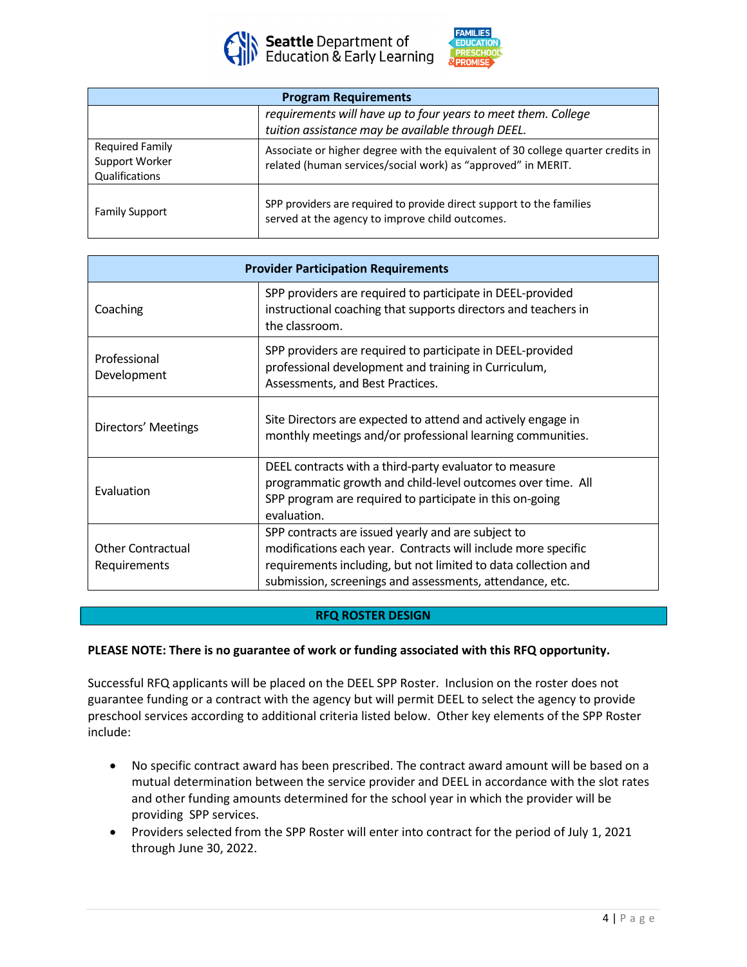



| <b>Program Requirements</b>                                |                                                                                                                                                 |  |
|------------------------------------------------------------|-------------------------------------------------------------------------------------------------------------------------------------------------|--|
|                                                            | requirements will have up to four years to meet them. College<br>tuition assistance may be available through DEEL.                              |  |
| <b>Required Family</b><br>Support Worker<br>Qualifications | Associate or higher degree with the equivalent of 30 college quarter credits in<br>related (human services/social work) as "approved" in MERIT. |  |
| <b>Family Support</b>                                      | SPP providers are required to provide direct support to the families<br>served at the agency to improve child outcomes.                         |  |

| <b>Provider Participation Requirements</b> |                                                                                                                                                                                                                                                   |  |
|--------------------------------------------|---------------------------------------------------------------------------------------------------------------------------------------------------------------------------------------------------------------------------------------------------|--|
| Coaching                                   | SPP providers are required to participate in DEEL-provided<br>instructional coaching that supports directors and teachers in<br>the classroom.                                                                                                    |  |
| Professional<br>Development                | SPP providers are required to participate in DEEL-provided<br>professional development and training in Curriculum,<br>Assessments, and Best Practices.                                                                                            |  |
| Directors' Meetings                        | Site Directors are expected to attend and actively engage in<br>monthly meetings and/or professional learning communities.                                                                                                                        |  |
| Evaluation                                 | DEEL contracts with a third-party evaluator to measure<br>programmatic growth and child-level outcomes over time. All<br>SPP program are required to participate in this on-going<br>evaluation.                                                  |  |
| <b>Other Contractual</b><br>Requirements   | SPP contracts are issued yearly and are subject to<br>modifications each year. Contracts will include more specific<br>requirements including, but not limited to data collection and<br>submission, screenings and assessments, attendance, etc. |  |

## **RFQ ROSTER DESIGN**

#### **PLEASE NOTE: There is no guarantee of work or funding associated with this RFQ opportunity.**

Successful RFQ applicants will be placed on the DEEL SPP Roster. Inclusion on the roster does not guarantee funding or a contract with the agency but will permit DEEL to select the agency to provide preschool services according to additional criteria listed below. Other key elements of the SPP Roster include:

- No specific contract award has been prescribed. The contract award amount will be based on a mutual determination between the service provider and DEEL in accordance with the slot rates and other funding amounts determined for the school year in which the provider will be providing SPP services.
- Providers selected from the SPP Roster will enter into contract for the period of July 1, 2021 through June 30, 2022.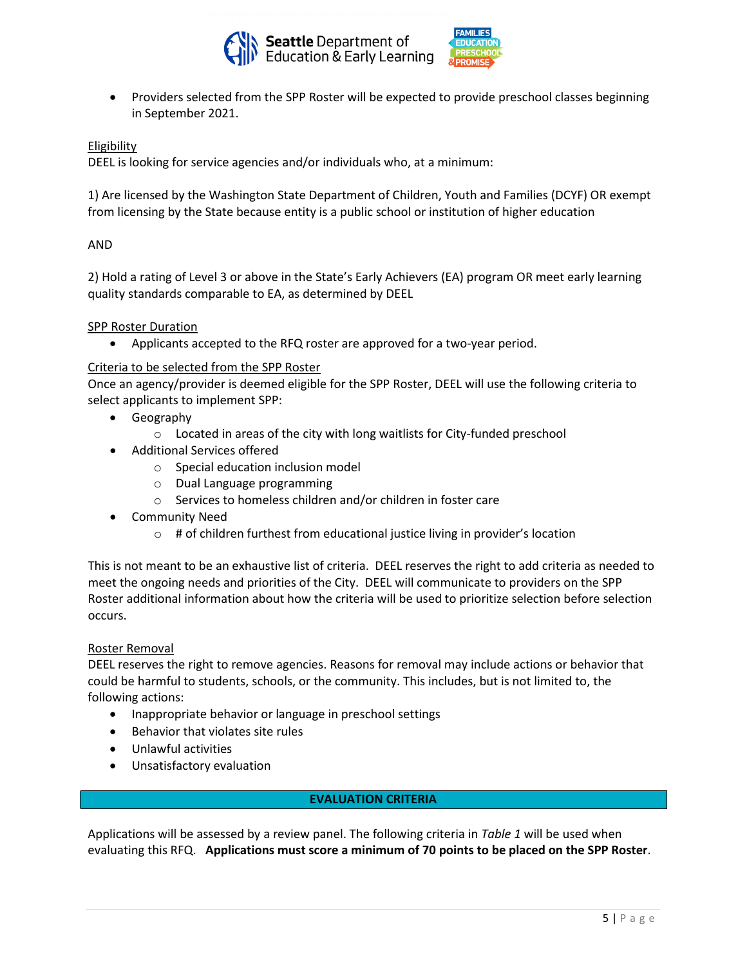



• Providers selected from the SPP Roster will be expected to provide preschool classes beginning in September 2021.

## Eligibility

DEEL is looking for service agencies and/or individuals who, at a minimum:

1) Are licensed by the Washington State Department of Children, Youth and Families (DCYF) OR exempt from licensing by the State because entity is a public school or institution of higher education

#### AND

2) Hold a rating of Level 3 or above in the State's Early Achievers (EA) program OR meet early learning quality standards comparable to EA, as determined by DEEL

#### SPP Roster Duration

• Applicants accepted to the RFQ roster are approved for a two-year period.

#### Criteria to be selected from the SPP Roster

Once an agency/provider is deemed eligible for the SPP Roster, DEEL will use the following criteria to select applicants to implement SPP:

- Geography
	- o Located in areas of the city with long waitlists for City-funded preschool
- Additional Services offered
	- o Special education inclusion model
	- o Dual Language programming
	- o Services to homeless children and/or children in foster care
- Community Need
	- o # of children furthest from educational justice living in provider's location

This is not meant to be an exhaustive list of criteria. DEEL reserves the right to add criteria as needed to meet the ongoing needs and priorities of the City. DEEL will communicate to providers on the SPP Roster additional information about how the criteria will be used to prioritize selection before selection occurs.

#### Roster Removal

DEEL reserves the right to remove agencies. Reasons for removal may include actions or behavior that could be harmful to students, schools, or the community. This includes, but is not limited to, the following actions:

- Inappropriate behavior or language in preschool settings
- Behavior that violates site rules
- Unlawful activities
- Unsatisfactory evaluation

#### **EVALUATION CRITERIA**

Applications will be assessed by a review panel. The following criteria in *Table 1* will be used when evaluating this RFQ. **Applications must score a minimum of 70 points to be placed on the SPP Roster**.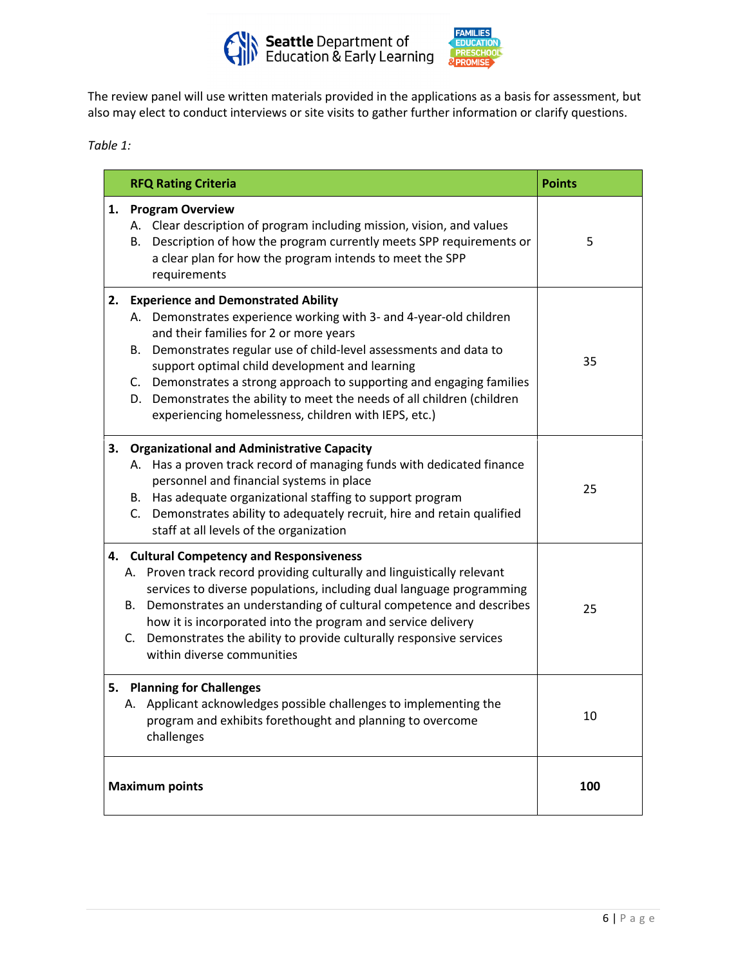



The review panel will use written materials provided in the applications as a basis for assessment, but also may elect to conduct interviews or site visits to gather further information or clarify questions.

*Table 1:*

| <b>RFQ Rating Criteria</b>                                                                                                                                                                                                                                                                                                                                                                                                                                                                 | <b>Points</b> |
|--------------------------------------------------------------------------------------------------------------------------------------------------------------------------------------------------------------------------------------------------------------------------------------------------------------------------------------------------------------------------------------------------------------------------------------------------------------------------------------------|---------------|
| <b>Program Overview</b><br>1.<br>A. Clear description of program including mission, vision, and values<br>B. Description of how the program currently meets SPP requirements or<br>a clear plan for how the program intends to meet the SPP<br>requirements                                                                                                                                                                                                                                | 5             |
| 2. Experience and Demonstrated Ability<br>A. Demonstrates experience working with 3- and 4-year-old children<br>and their families for 2 or more years<br>B. Demonstrates regular use of child-level assessments and data to<br>support optimal child development and learning<br>C. Demonstrates a strong approach to supporting and engaging families<br>D. Demonstrates the ability to meet the needs of all children (children<br>experiencing homelessness, children with IEPS, etc.) | 35            |
| 3. Organizational and Administrative Capacity<br>A. Has a proven track record of managing funds with dedicated finance<br>personnel and financial systems in place<br>B. Has adequate organizational staffing to support program<br>C. Demonstrates ability to adequately recruit, hire and retain qualified<br>staff at all levels of the organization                                                                                                                                    | 25            |
| 4. Cultural Competency and Responsiveness<br>A. Proven track record providing culturally and linguistically relevant<br>services to diverse populations, including dual language programming<br>B. Demonstrates an understanding of cultural competence and describes<br>how it is incorporated into the program and service delivery<br>C. Demonstrates the ability to provide culturally responsive services<br>within diverse communities                                               | 25            |
| 5. Planning for Challenges<br>A. Applicant acknowledges possible challenges to implementing the<br>program and exhibits forethought and planning to overcome<br>challenges                                                                                                                                                                                                                                                                                                                 | 10            |
| <b>Maximum points</b>                                                                                                                                                                                                                                                                                                                                                                                                                                                                      | 100           |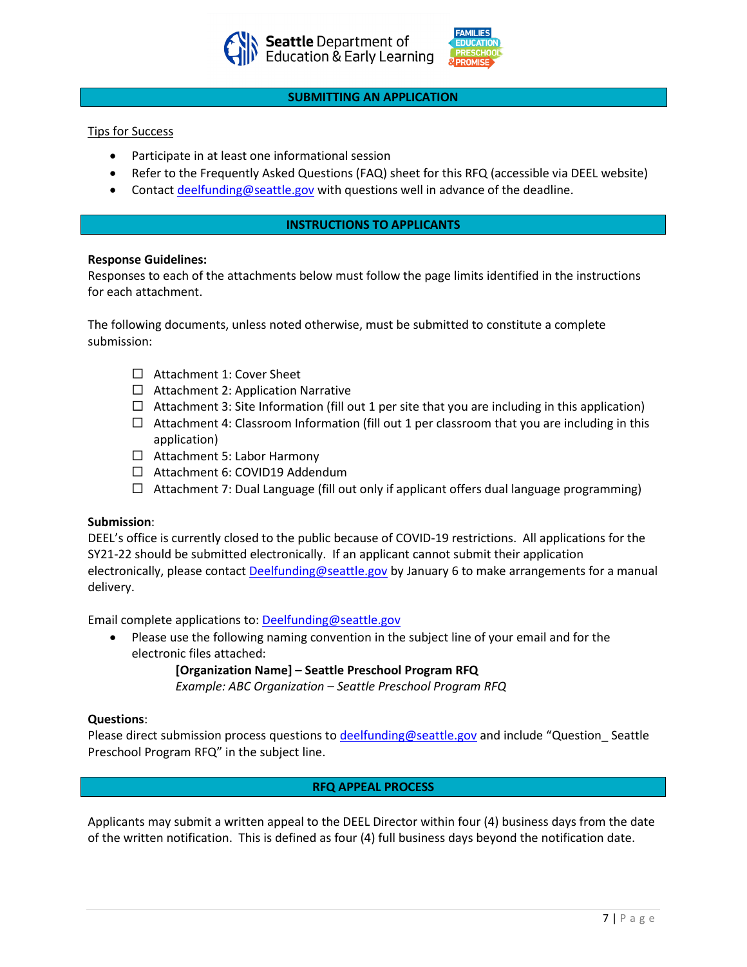



#### **SUBMITTING AN APPLICATION**

#### Tips for Success

- Participate in at least one informational session
- Refer to the Frequently Asked Questions (FAQ) sheet for this RFQ (accessible via DEEL website)
- Contact [deelfunding@seattle.gov](mailto:education@seattle.gov) with questions well in advance of the deadline.

#### **INSTRUCTIONS TO APPLICANTS**

#### **Response Guidelines:**

Responses to each of the attachments below must follow the page limits identified in the instructions for each attachment.

The following documents, unless noted otherwise, must be submitted to constitute a complete submission:

- □ Attachment 1: Cover Sheet
- $\Box$  Attachment 2: Application Narrative
- $\Box$  Attachment 3: Site Information (fill out 1 per site that you are including in this application)
- $\Box$  Attachment 4: Classroom Information (fill out 1 per classroom that you are including in this application)
- □ Attachment 5: Labor Harmony
- $\Box$  Attachment 6: COVID19 Addendum
- $\Box$  Attachment 7: Dual Language (fill out only if applicant offers dual language programming)

#### **Submission**:

DEEL's office is currently closed to the public because of COVID-19 restrictions. All applications for the SY21-22 should be submitted electronically. If an applicant cannot submit their application electronically, please contact [Deelfunding@seattle.gov](mailto:Education@seattle.gov) by January 6 to make arrangements for a manual delivery.

Email complete applications to: [Deelfunding@seattle.gov](mailto:Education@seattle.gov)

• Please use the following naming convention in the subject line of your email and for the electronic files attached:

**[Organization Name] – Seattle Preschool Program RFQ**

*Example: ABC Organization – Seattle Preschool Program RFQ*

#### **Questions**:

Please direct submission process questions t[o deelfunding@seattle.gov](mailto:education@seattle.gov) and include "Question\_ Seattle Preschool Program RFQ" in the subject line.

## **RFQ APPEAL PROCESS**

Applicants may submit a written appeal to the DEEL Director within four (4) business days from the date of the written notification. This is defined as four (4) full business days beyond the notification date.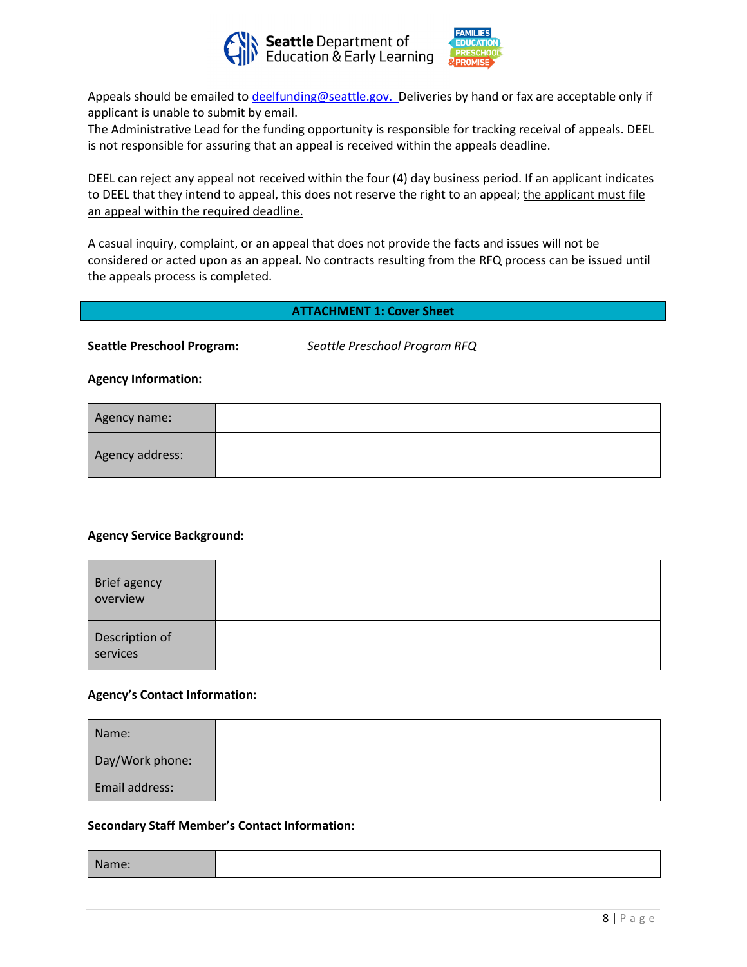



Appeals should be emailed t[o deelfunding@seattle.gov.](mailto:education@seattle.gov) Deliveries by hand or fax are acceptable only if applicant is unable to submit by email.

The Administrative Lead for the funding opportunity is responsible for tracking receival of appeals. DEEL is not responsible for assuring that an appeal is received within the appeals deadline.

DEEL can reject any appeal not received within the four (4) day business period. If an applicant indicates to DEEL that they intend to appeal, this does not reserve the right to an appeal; the applicant must file an appeal within the required deadline.

A casual inquiry, complaint, or an appeal that does not provide the facts and issues will not be considered or acted upon as an appeal. No contracts resulting from the RFQ process can be issued until the appeals process is completed.

## **ATTACHMENT 1: Cover Sheet**

**Seattle Preschool Program:** *Seattle Preschool Program RFQ*

**Agency Information:**

| Agency name:    |  |
|-----------------|--|
| Agency address: |  |

## **Agency Service Background:**

| Brief agency<br>overview   |  |
|----------------------------|--|
| Description of<br>services |  |

#### **Agency's Contact Information:**

| Name:           |  |
|-----------------|--|
| Day/Work phone: |  |
| Email address:  |  |

#### **Secondary Staff Member's Contact Information:**

| <i>s</i> ivame: |
|-----------------|
|-----------------|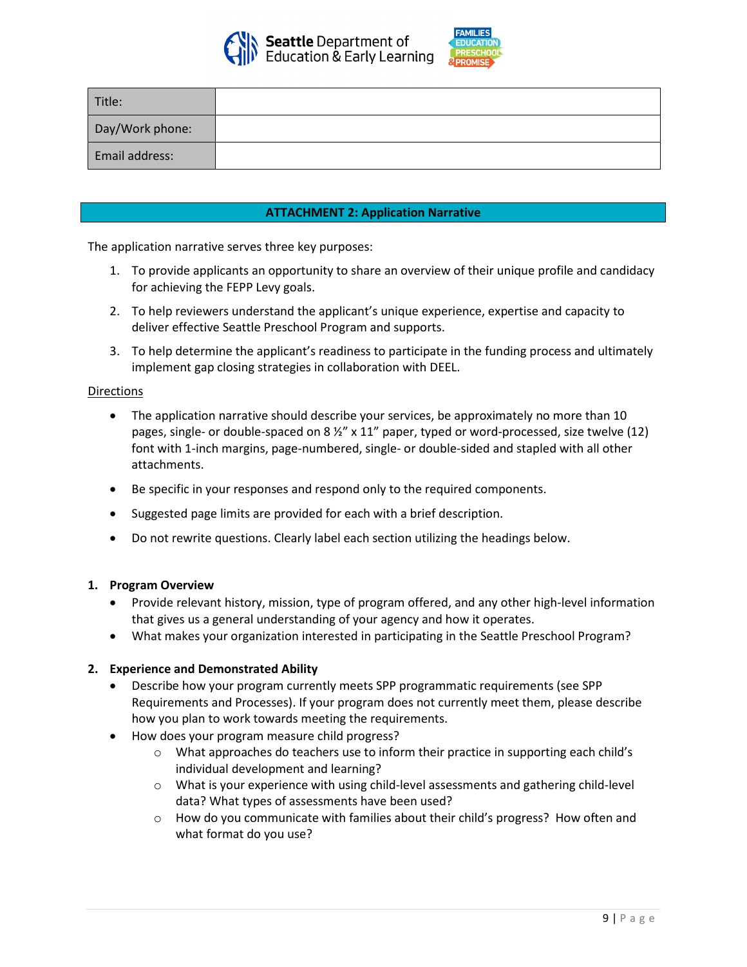



| Title:          |  |
|-----------------|--|
| Day/Work phone: |  |
| Email address:  |  |

## **ATTACHMENT 2: Application Narrative**

The application narrative serves three key purposes:

- 1. To provide applicants an opportunity to share an overview of their unique profile and candidacy for achieving the FEPP Levy goals.
- 2. To help reviewers understand the applicant's unique experience, expertise and capacity to deliver effective Seattle Preschool Program and supports.
- 3. To help determine the applicant's readiness to participate in the funding process and ultimately implement gap closing strategies in collaboration with DEEL.

#### **Directions**

- The application narrative should describe your services, be approximately no more than 10 pages, single- or double-spaced on 8  $\frac{1}{2}$ " x 11" paper, typed or word-processed, size twelve (12) font with 1-inch margins, page-numbered, single- or double-sided and stapled with all other attachments.
- Be specific in your responses and respond only to the required components.
- Suggested page limits are provided for each with a brief description.
- Do not rewrite questions. Clearly label each section utilizing the headings below.

## **1. Program Overview**

- Provide relevant history, mission, type of program offered, and any other high-level information that gives us a general understanding of your agency and how it operates.
- What makes your organization interested in participating in the Seattle Preschool Program?

## **2. Experience and Demonstrated Ability**

- Describe how your program currently meets SPP programmatic requirements (see SPP Requirements and Processes). If your program does not currently meet them, please describe how you plan to work towards meeting the requirements.
- How does your program measure child progress?
	- $\circ$  What approaches do teachers use to inform their practice in supporting each child's individual development and learning?
	- o What is your experience with using child-level assessments and gathering child-level data? What types of assessments have been used?
	- $\circ$  How do you communicate with families about their child's progress? How often and what format do you use?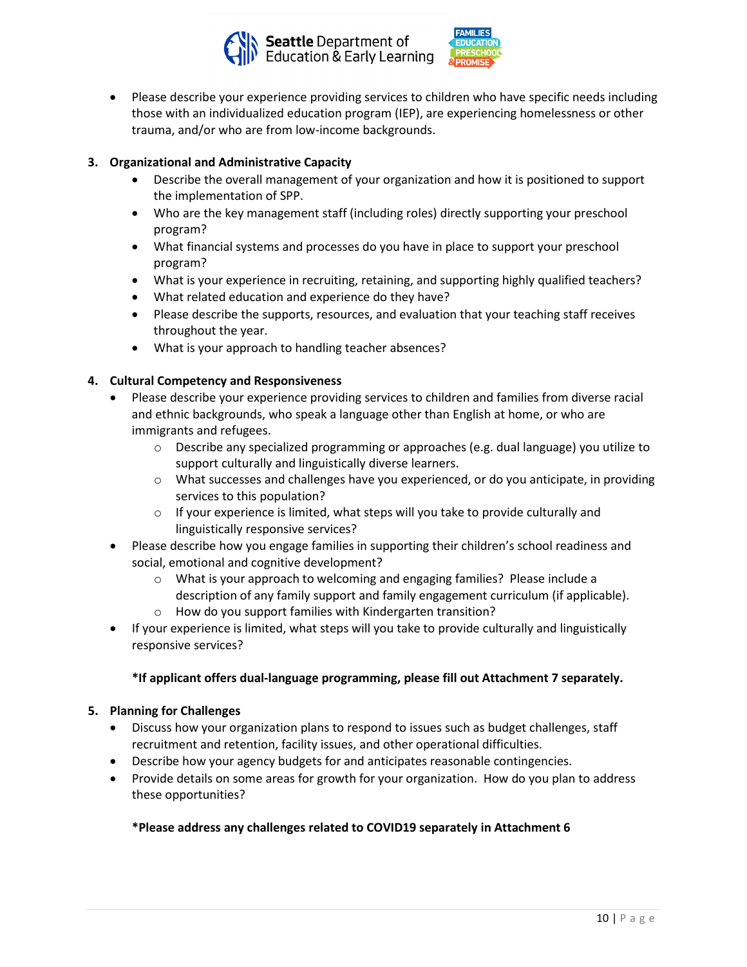



• Please describe your experience providing services to children who have specific needs including those with an individualized education program (IEP), are experiencing homelessness or other trauma, and/or who are from low-income backgrounds.

## **3. Organizational and Administrative Capacity**

- Describe the overall management of your organization and how it is positioned to support the implementation of SPP.
- Who are the key management staff (including roles) directly supporting your preschool program?
- What financial systems and processes do you have in place to support your preschool program?
- What is your experience in recruiting, retaining, and supporting highly qualified teachers?
- What related education and experience do they have?
- Please describe the supports, resources, and evaluation that your teaching staff receives throughout the year.
- What is your approach to handling teacher absences?

## **4. Cultural Competency and Responsiveness**

- Please describe your experience providing services to children and families from diverse racial and ethnic backgrounds, who speak a language other than English at home, or who are immigrants and refugees.
	- $\circ$  Describe any specialized programming or approaches (e.g. dual language) you utilize to support culturally and linguistically diverse learners.
	- o What successes and challenges have you experienced, or do you anticipate, in providing services to this population?
	- o If your experience is limited, what steps will you take to provide culturally and linguistically responsive services?
- Please describe how you engage families in supporting their children's school readiness and social, emotional and cognitive development?
	- $\circ$  What is your approach to welcoming and engaging families? Please include a description of any family support and family engagement curriculum (if applicable).
	- o How do you support families with Kindergarten transition?
- If your experience is limited, what steps will you take to provide culturally and linguistically responsive services?

## **\*If applicant offers dual-language programming, please fill out Attachment 7 separately.**

## **5. Planning for Challenges**

- Discuss how your organization plans to respond to issues such as budget challenges, staff recruitment and retention, facility issues, and other operational difficulties.
- Describe how your agency budgets for and anticipates reasonable contingencies.
- Provide details on some areas for growth for your organization. How do you plan to address these opportunities?

## **\*Please address any challenges related to COVID19 separately in Attachment 6**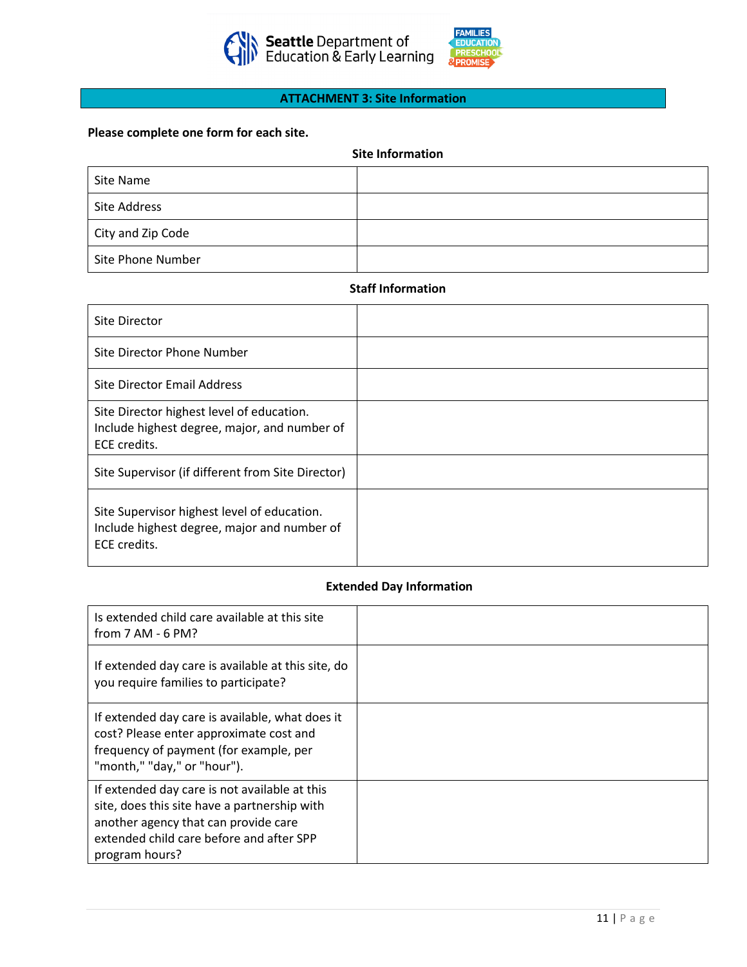



#### **ATTACHMENT 3: Site Information**

#### **Please complete one form for each site.**

| <b>Site Information</b> |  |
|-------------------------|--|
|                         |  |

| Site Name         |  |
|-------------------|--|
| Site Address      |  |
| City and Zip Code |  |
| Site Phone Number |  |

#### **Staff Information**

| Site Director                                                                                              |  |
|------------------------------------------------------------------------------------------------------------|--|
| Site Director Phone Number                                                                                 |  |
| Site Director Email Address                                                                                |  |
| Site Director highest level of education.<br>Include highest degree, major, and number of<br>ECE credits.  |  |
| Site Supervisor (if different from Site Director)                                                          |  |
| Site Supervisor highest level of education.<br>Include highest degree, major and number of<br>ECE credits. |  |

## **Extended Day Information**

| Is extended child care available at this site<br>from $7$ AM - 6 PM?                                                                                                                                |  |
|-----------------------------------------------------------------------------------------------------------------------------------------------------------------------------------------------------|--|
| If extended day care is available at this site, do<br>you require families to participate?                                                                                                          |  |
| If extended day care is available, what does it<br>cost? Please enter approximate cost and<br>frequency of payment (for example, per<br>"month," "day," or "hour").                                 |  |
| If extended day care is not available at this<br>site, does this site have a partnership with<br>another agency that can provide care<br>extended child care before and after SPP<br>program hours? |  |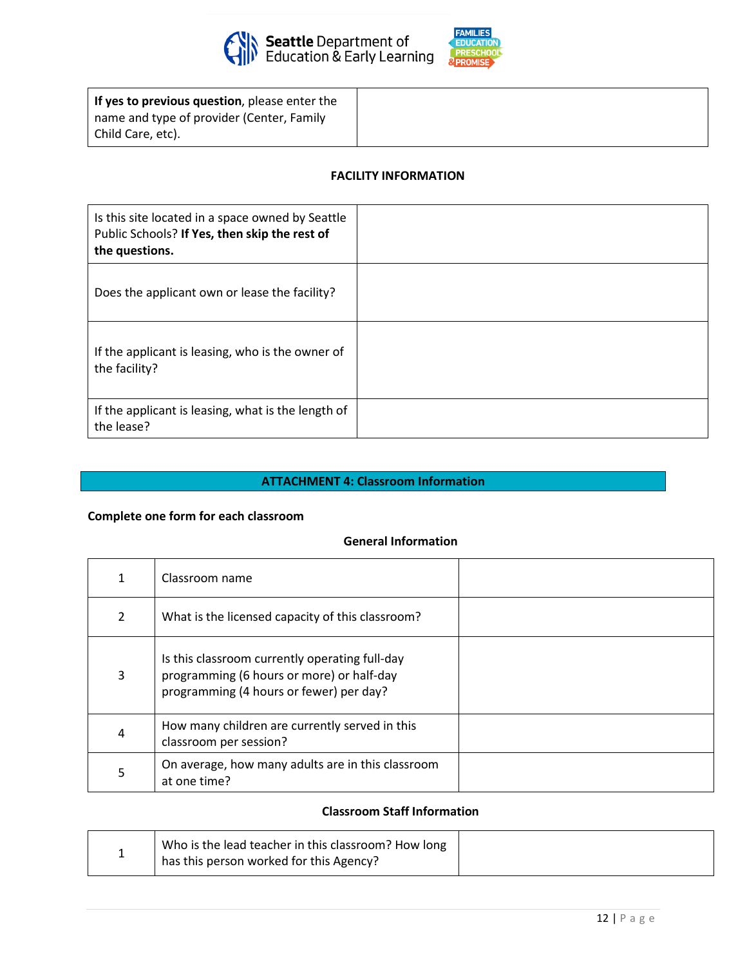



| If yes to previous question, please enter the |
|-----------------------------------------------|
| name and type of provider (Center, Family     |
| Child Care, etc).                             |

## **FACILITY INFORMATION**

| Is this site located in a space owned by Seattle<br>Public Schools? If Yes, then skip the rest of<br>the questions. |  |
|---------------------------------------------------------------------------------------------------------------------|--|
| Does the applicant own or lease the facility?                                                                       |  |
| If the applicant is leasing, who is the owner of<br>the facility?                                                   |  |
| If the applicant is leasing, what is the length of<br>the lease?                                                    |  |

## **ATTACHMENT 4: Classroom Information**

## **Complete one form for each classroom**

#### **General Information**

|   | Classroom name                                                                                                                         |  |
|---|----------------------------------------------------------------------------------------------------------------------------------------|--|
| 2 | What is the licensed capacity of this classroom?                                                                                       |  |
| 3 | Is this classroom currently operating full-day<br>programming (6 hours or more) or half-day<br>programming (4 hours or fewer) per day? |  |
| 4 | How many children are currently served in this<br>classroom per session?                                                               |  |
| 5 | On average, how many adults are in this classroom<br>at one time?                                                                      |  |

#### **Classroom Staff Information**

| Who is the lead teacher in this classroom? How long |
|-----------------------------------------------------|
| has this person worked for this Agency?             |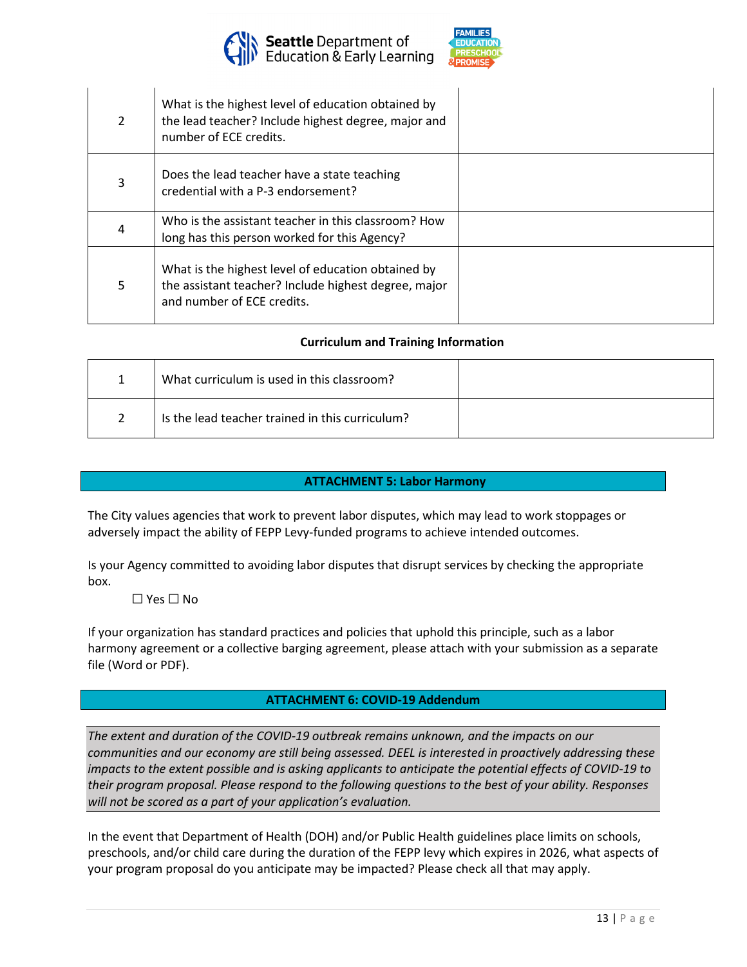



| $\mathcal{L}$ | What is the highest level of education obtained by<br>the lead teacher? Include highest degree, major and<br>number of ECE credits.      |  |
|---------------|------------------------------------------------------------------------------------------------------------------------------------------|--|
| 3             | Does the lead teacher have a state teaching<br>credential with a P-3 endorsement?                                                        |  |
| 4             | Who is the assistant teacher in this classroom? How<br>long has this person worked for this Agency?                                      |  |
| 5.            | What is the highest level of education obtained by<br>the assistant teacher? Include highest degree, major<br>and number of ECE credits. |  |

## **Curriculum and Training Information**

| What curriculum is used in this classroom?      |  |
|-------------------------------------------------|--|
| Is the lead teacher trained in this curriculum? |  |

## **ATTACHMENT 5: Labor Harmony**

The City values agencies that work to prevent labor disputes, which may lead to work stoppages or adversely impact the ability of FEPP Levy-funded programs to achieve intended outcomes.

Is your Agency committed to avoiding labor disputes that disrupt services by checking the appropriate box.

☐ Yes ☐ No

If your organization has standard practices and policies that uphold this principle, such as a labor harmony agreement or a collective barging agreement, please attach with your submission as a separate file (Word or PDF).

## **ATTACHMENT 6: COVID-19 Addendum**

*The extent and duration of the COVID-19 outbreak remains unknown, and the impacts on our communities and our economy are still being assessed. DEEL is interested in proactively addressing these impacts to the extent possible and is asking applicants to anticipate the potential effects of COVID-19 to their program proposal. Please respond to the following questions to the best of your ability. Responses will not be scored as a part of your application's evaluation.*

In the event that Department of Health (DOH) and/or Public Health guidelines place limits on schools, preschools, and/or child care during the duration of the FEPP levy which expires in 2026, what aspects of your program proposal do you anticipate may be impacted? Please check all that may apply.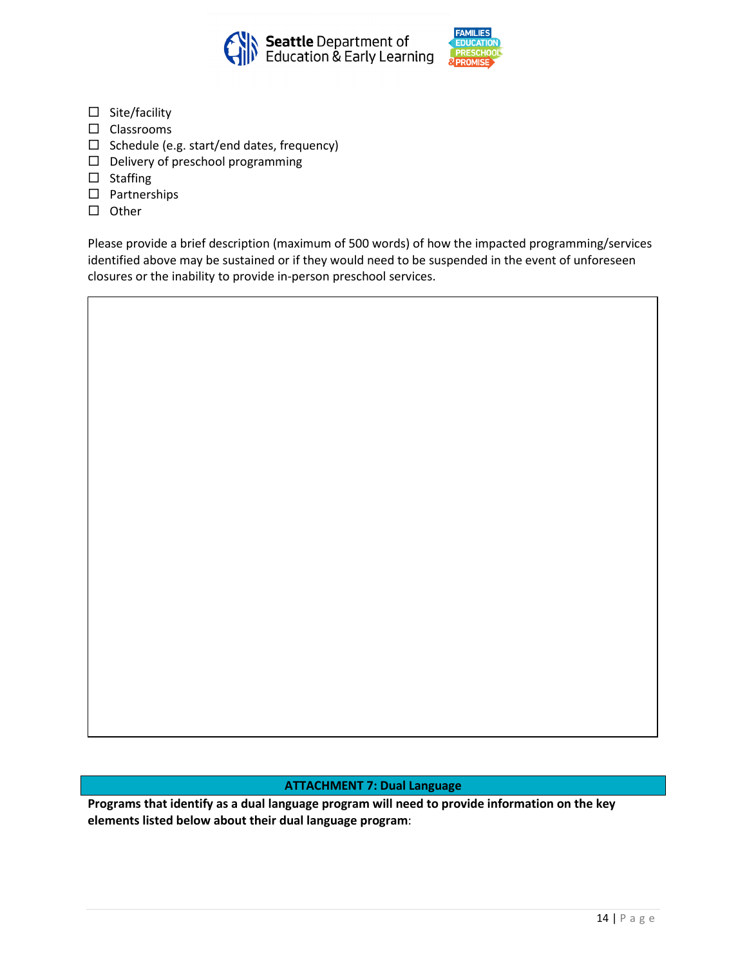



- $\square$  Site/facility
- $\square$  Classrooms
- $\square$  Schedule (e.g. start/end dates, frequency)
- $\Box$  Delivery of preschool programming
- $\square$  Staffing
- □ Partnerships
- $\square$  Other

Please provide a brief description (maximum of 500 words) of how the impacted programming/services identified above may be sustained or if they would need to be suspended in the event of unforeseen closures or the inability to provide in-person preschool services.

## **ATTACHMENT 7: Dual Language**

**Programs that identify as a dual language program will need to provide information on the key elements listed below about their dual language program**: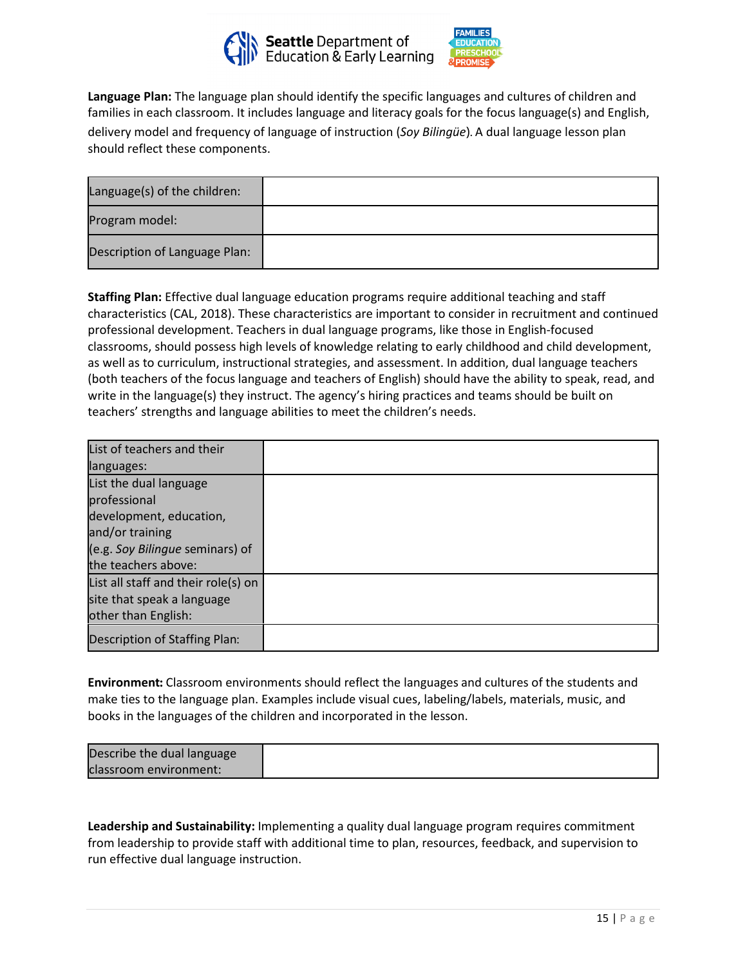



**Language Plan:** The language plan should identify the specific languages and cultures of children and families in each classroom. It includes language and literacy goals for the focus language(s) and English, delivery model and frequency of language of instruction (*Soy Bilingüe*). A dual language lesson plan should reflect these components.

| Language(s) of the children:  |  |
|-------------------------------|--|
| Program model:                |  |
| Description of Language Plan: |  |

**Staffing Plan:** Effective dual language education programs require additional teaching and staff characteristics (CAL, 2018). These characteristics are important to consider in recruitment and continued professional development. Teachers in dual language programs, like those in English-focused classrooms, should possess high levels of knowledge relating to early childhood and child development, as well as to curriculum, instructional strategies, and assessment. In addition, dual language teachers (both teachers of the focus language and teachers of English) should have the ability to speak, read, and write in the language(s) they instruct. The agency's hiring practices and teams should be built on teachers' strengths and language abilities to meet the children's needs.

| List of teachers and their          |  |
|-------------------------------------|--|
| languages:                          |  |
| List the dual language              |  |
| professional                        |  |
| development, education,             |  |
| and/or training                     |  |
| (e.g. Soy Bilingue seminars) of     |  |
| the teachers above:                 |  |
| List all staff and their role(s) on |  |
| site that speak a language          |  |
| other than English:                 |  |
| Description of Staffing Plan:       |  |

**Environment:** Classroom environments should reflect the languages and cultures of the students and make ties to the language plan. Examples include visual cues, labeling/labels, materials, music, and books in the languages of the children and incorporated in the lesson.

| Describe the dual language |  |
|----------------------------|--|
| classroom environment:     |  |

**Leadership and Sustainability:** Implementing a quality dual language program requires commitment from leadership to provide staff with additional time to plan, resources, feedback, and supervision to run effective dual language instruction.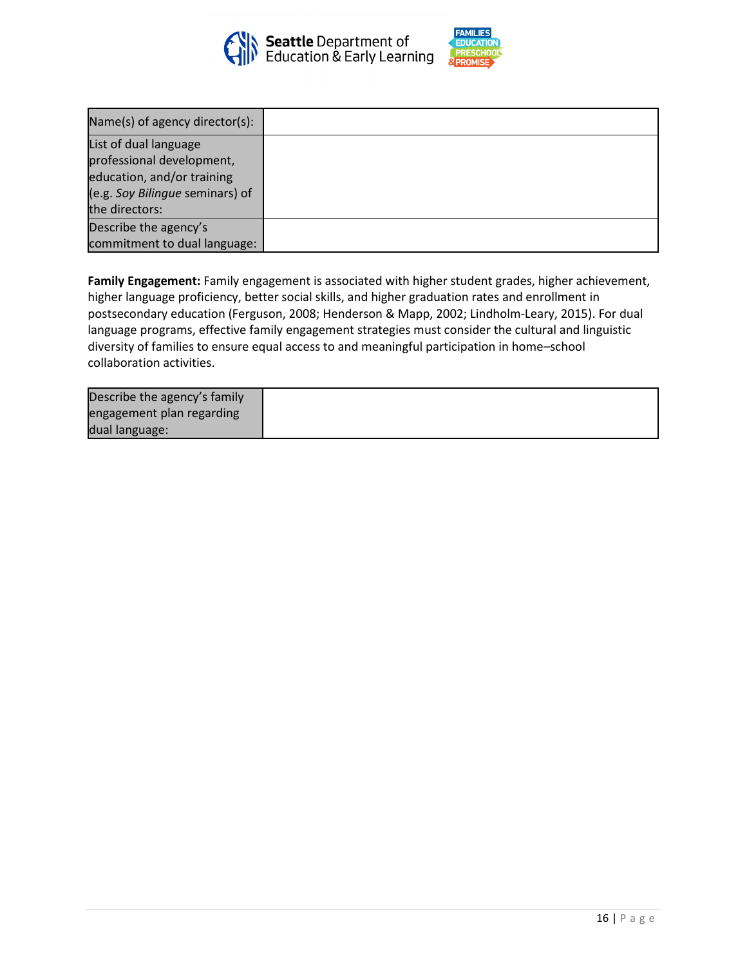



| Name(s) of agency director(s):  |  |
|---------------------------------|--|
| List of dual language           |  |
| professional development,       |  |
| education, and/or training      |  |
| (e.g. Soy Bilingue seminars) of |  |
| the directors:                  |  |
| Describe the agency's           |  |
| commitment to dual language:    |  |

**Family Engagement:** Family engagement is associated with higher student grades, higher achievement, higher language proficiency, better social skills, and higher graduation rates and enrollment in postsecondary education (Ferguson, 2008; Henderson & Mapp, 2002; Lindholm-Leary, 2015). For dual language programs, effective family engagement strategies must consider the cultural and linguistic diversity of families to ensure equal access to and meaningful participation in home–school collaboration activities.

| Describe the agency's family |  |
|------------------------------|--|
| engagement plan regarding    |  |
| dual language:               |  |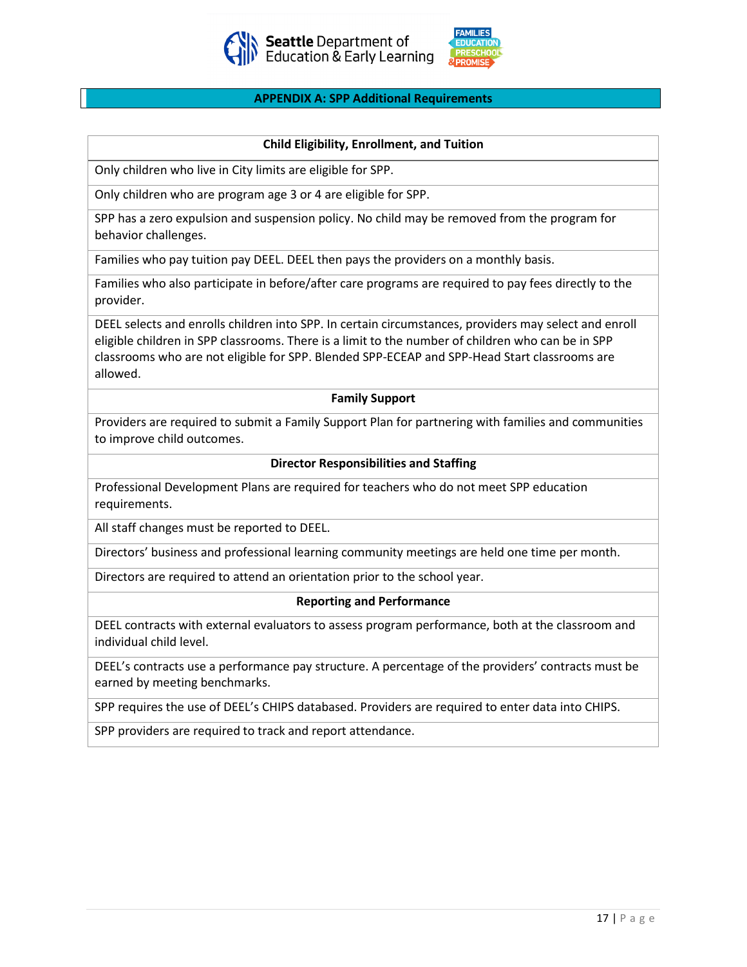



#### **APPENDIX A: SPP Additional Requirements**

#### **Child Eligibility, Enrollment, and Tuition**

Only children who live in City limits are eligible for SPP.

Only children who are program age 3 or 4 are eligible for SPP.

SPP has a zero expulsion and suspension policy. No child may be removed from the program for behavior challenges.

Families who pay tuition pay DEEL. DEEL then pays the providers on a monthly basis.

Families who also participate in before/after care programs are required to pay fees directly to the provider.

DEEL selects and enrolls children into SPP. In certain circumstances, providers may select and enroll eligible children in SPP classrooms. There is a limit to the number of children who can be in SPP classrooms who are not eligible for SPP. Blended SPP-ECEAP and SPP-Head Start classrooms are allowed.

#### **Family Support**

Providers are required to submit a Family Support Plan for partnering with families and communities to improve child outcomes.

#### **Director Responsibilities and Staffing**

Professional Development Plans are required for teachers who do not meet SPP education requirements.

All staff changes must be reported to DEEL.

Directors' business and professional learning community meetings are held one time per month.

Directors are required to attend an orientation prior to the school year.

#### **Reporting and Performance**

DEEL contracts with external evaluators to assess program performance, both at the classroom and individual child level.

DEEL's contracts use a performance pay structure. A percentage of the providers' contracts must be earned by meeting benchmarks.

SPP requires the use of DEEL's CHIPS databased. Providers are required to enter data into CHIPS.

SPP providers are required to track and report attendance.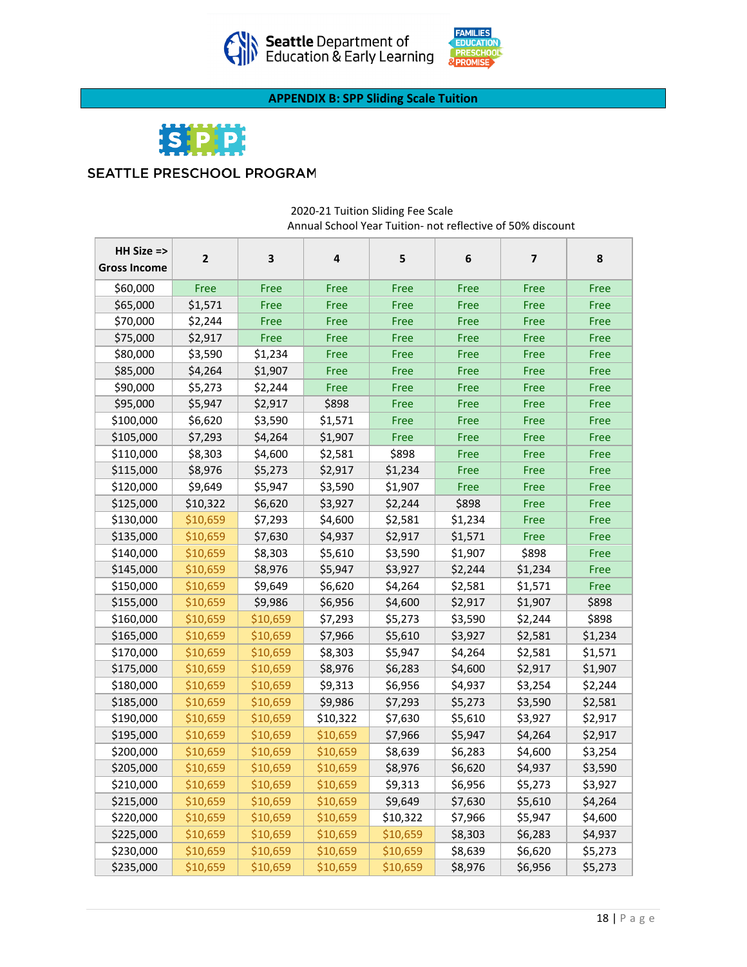



**APPENDIX B: SPP Sliding Scale Tuition**



## SEATTLE PRESCHOOL PROGRAM

| HH Size =><br><b>Gross Income</b> | $\overline{2}$ | $\mathbf 3$ | 4        | 5        | 6       | $\overline{7}$ | 8       |
|-----------------------------------|----------------|-------------|----------|----------|---------|----------------|---------|
| \$60,000                          | Free           | Free        | Free     | Free     | Free    | Free           | Free    |
| \$65,000                          | \$1,571        | Free        | Free     | Free     | Free    | Free           | Free    |
| \$70,000                          | \$2,244        | Free        | Free     | Free     | Free    | Free           | Free    |
| \$75,000                          | \$2,917        | Free        | Free     | Free     | Free    | Free           | Free    |
| \$80,000                          | \$3,590        | \$1,234     | Free     | Free     | Free    | Free           | Free    |
| \$85,000                          | \$4,264        | \$1,907     | Free     | Free     | Free    | Free           | Free    |
| \$90,000                          | \$5,273        | \$2,244     | Free     | Free     | Free    | Free           | Free    |
| \$95,000                          | \$5,947        | \$2,917     | \$898    | Free     | Free    | Free           | Free    |
| \$100,000                         | \$6,620        | \$3,590     | \$1,571  | Free     | Free    | Free           | Free    |
| \$105,000                         | \$7,293        | \$4,264     | \$1,907  | Free     | Free    | Free           | Free    |
| \$110,000                         | \$8,303        | \$4,600     | \$2,581  | \$898    | Free    | Free           | Free    |
| \$115,000                         | \$8,976        | \$5,273     | \$2,917  | \$1,234  | Free    | Free           | Free    |
| \$120,000                         | \$9,649        | \$5,947     | \$3,590  | \$1,907  | Free    | Free           | Free    |
| \$125,000                         | \$10,322       | \$6,620     | \$3,927  | \$2,244  | \$898   | Free           | Free    |
| \$130,000                         | \$10,659       | \$7,293     | \$4,600  | \$2,581  | \$1,234 | Free           | Free    |
| \$135,000                         | \$10,659       | \$7,630     | \$4,937  | \$2,917  | \$1,571 | Free           | Free    |
| \$140,000                         | \$10,659       | \$8,303     | \$5,610  | \$3,590  | \$1,907 | \$898          | Free    |
| \$145,000                         | \$10,659       | \$8,976     | \$5,947  | \$3,927  | \$2,244 | \$1,234        | Free    |
| \$150,000                         | \$10,659       | \$9,649     | \$6,620  | \$4,264  | \$2,581 | \$1,571        | Free    |
| \$155,000                         | \$10,659       | \$9,986     | \$6,956  | \$4,600  | \$2,917 | \$1,907        | \$898   |
| \$160,000                         | \$10,659       | \$10,659    | \$7,293  | \$5,273  | \$3,590 | \$2,244        | \$898   |
| \$165,000                         | \$10,659       | \$10,659    | \$7,966  | \$5,610  | \$3,927 | \$2,581        | \$1,234 |
| \$170,000                         | \$10,659       | \$10,659    | \$8,303  | \$5,947  | \$4,264 | \$2,581        | \$1,571 |
| \$175,000                         | \$10,659       | \$10,659    | \$8,976  | \$6,283  | \$4,600 | \$2,917        | \$1,907 |
| \$180,000                         | \$10,659       | \$10,659    | \$9,313  | \$6,956  | \$4,937 | \$3,254        | \$2,244 |
| \$185,000                         | \$10,659       | \$10,659    | \$9,986  | \$7,293  | \$5,273 | \$3,590        | \$2,581 |
| \$190,000                         | \$10,659       | \$10,659    | \$10,322 | \$7,630  | \$5,610 | \$3,927        | \$2,917 |
| \$195,000                         | \$10,659       | \$10,659    | \$10,659 | \$7,966  | \$5,947 | \$4,264        | \$2,917 |
| \$200,000                         | \$10,659       | \$10,659    | \$10,659 | \$8,639  | \$6,283 | \$4,600        | \$3,254 |
| \$205,000                         | \$10,659       | \$10,659    | \$10,659 | \$8,976  | \$6,620 | \$4,937        | \$3,590 |
| \$210,000                         | \$10,659       | \$10,659    | \$10,659 | \$9,313  | \$6,956 | \$5,273        | \$3,927 |
| \$215,000                         | \$10,659       | \$10,659    | \$10,659 | \$9,649  | \$7,630 | \$5,610        | \$4,264 |
| \$220,000                         | \$10,659       | \$10,659    | \$10,659 | \$10,322 | \$7,966 | \$5,947        | \$4,600 |
| \$225,000                         | \$10,659       | \$10,659    | \$10,659 | \$10,659 | \$8,303 | \$6,283        | \$4,937 |
| \$230,000                         | \$10,659       | \$10,659    | \$10,659 | \$10,659 | \$8,639 | \$6,620        | \$5,273 |
| \$235,000                         | \$10,659       | \$10,659    | \$10,659 | \$10,659 | \$8,976 | \$6,956        | \$5,273 |

#### 2020-21 Tuition Sliding Fee Scale Annual School Year Tuition- not reflective of 50% discount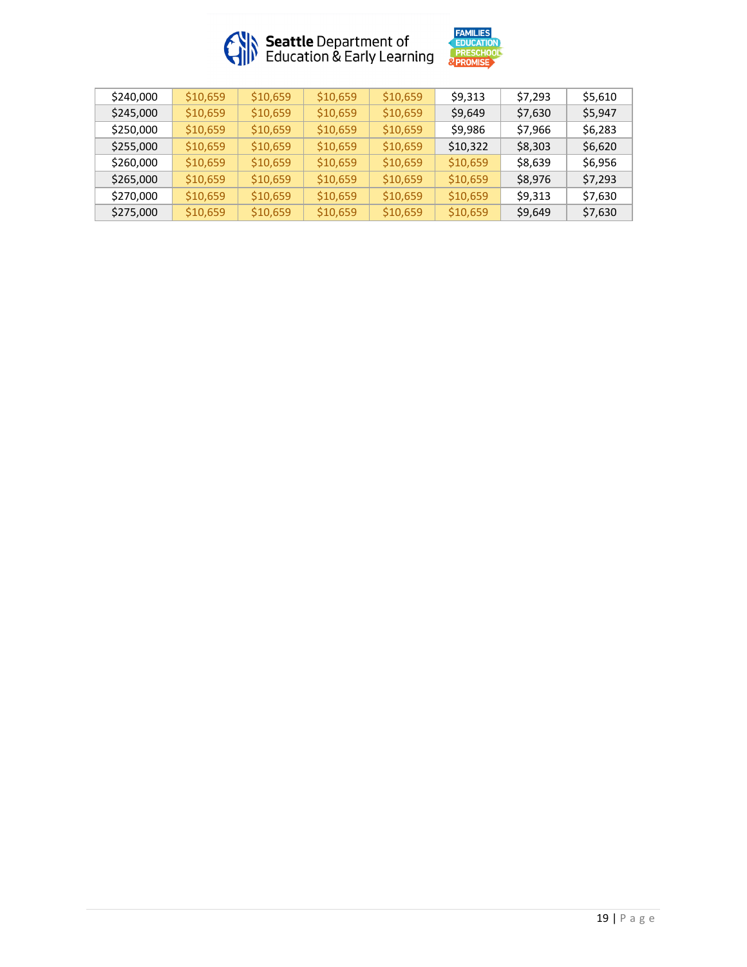



| \$240,000 | \$10,659 | \$10,659 | \$10,659 | \$10,659 | \$9.313  | \$7.293 | \$5.610 |
|-----------|----------|----------|----------|----------|----------|---------|---------|
| \$245,000 | \$10,659 | \$10,659 | \$10,659 | \$10,659 | \$9,649  | \$7,630 | \$5.947 |
| \$250,000 | \$10,659 | \$10,659 | \$10,659 | \$10,659 | \$9.986  | \$7.966 | S6.283  |
| \$255,000 | \$10,659 | \$10,659 | \$10,659 | \$10,659 | \$10,322 | \$8,303 | \$6,620 |
| \$260,000 | \$10,659 | \$10,659 | \$10,659 | \$10,659 | \$10,659 | \$8.639 | S6.956  |
| \$265,000 | \$10,659 | \$10,659 | \$10,659 | \$10,659 | \$10,659 | \$8,976 | \$7,293 |
| \$270,000 | \$10,659 | \$10,659 | \$10,659 | \$10,659 | \$10,659 | \$9.313 | \$7.630 |
| \$275,000 | \$10,659 | \$10,659 | \$10,659 | \$10,659 | \$10,659 | \$9,649 | \$7,630 |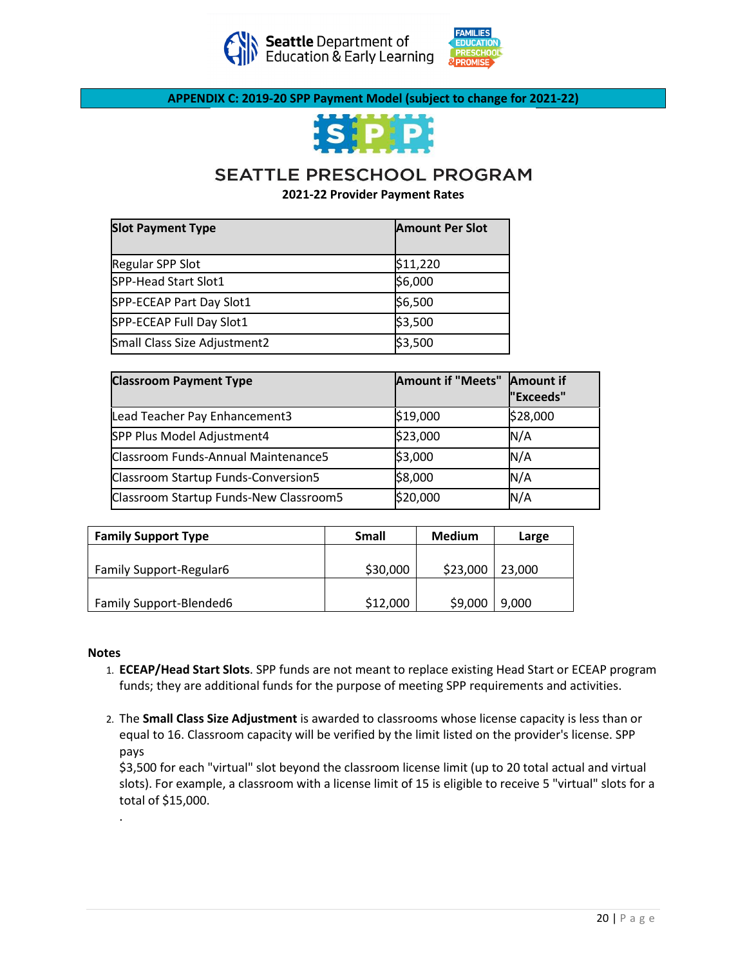



**APPENDIX C: 2019-20 SPP Payment Model (subject to change for 2021-22)**



# SEATTLE PRESCHOOL PROGRAM

**2021-22 Provider Payment Rates**

| <b>Slot Payment Type</b>     | <b>Amount Per Slot</b> |
|------------------------------|------------------------|
| Regular SPP Slot             | \$11,220               |
| SPP-Head Start Slot1         | \$6,000                |
| SPP-ECEAP Part Day Slot1     | \$6,500                |
| SPP-ECEAP Full Day Slot1     | \$3,500                |
| Small Class Size Adjustment2 | \$3,500                |

| <b>Classroom Payment Type</b>          | Amount if "Meets" Amount if | "Exceeds" |
|----------------------------------------|-----------------------------|-----------|
| Lead Teacher Pay Enhancement3          | \$19,000                    | \$28,000  |
| SPP Plus Model Adjustment4             | \$23,000                    | N/A       |
| Classroom Funds-Annual Maintenance5    | \$3,000                     | N/A       |
| Classroom Startup Funds-Conversion5    | \$8,000                     | N/A       |
| Classroom Startup Funds-New Classroom5 | \$20,000                    | N/A       |

| <b>Family Support Type</b>     | <b>Small</b> | <b>Medium</b> | Large  |
|--------------------------------|--------------|---------------|--------|
| <b>Family Support-Regular6</b> | \$30,000     | \$23,000      | 23,000 |
| <b>Family Support-Blended6</b> | \$12,000     | \$9,000       | 9.000  |

#### **Notes**

- 1. **ECEAP/Head Start Slots**. SPP funds are not meant to replace existing Head Start or ECEAP program funds; they are additional funds for the purpose of meeting SPP requirements and activities.
- 2. The **Small Class Size Adjustment** is awarded to classrooms whose license capacity is less than or equal to 16. Classroom capacity will be verified by the limit listed on the provider's license. SPP pays

\$3,500 for each "virtual" slot beyond the classroom license limit (up to 20 total actual and virtual slots). For example, a classroom with a license limit of 15 is eligible to receive 5 "virtual" slots for a total of \$15,000.

.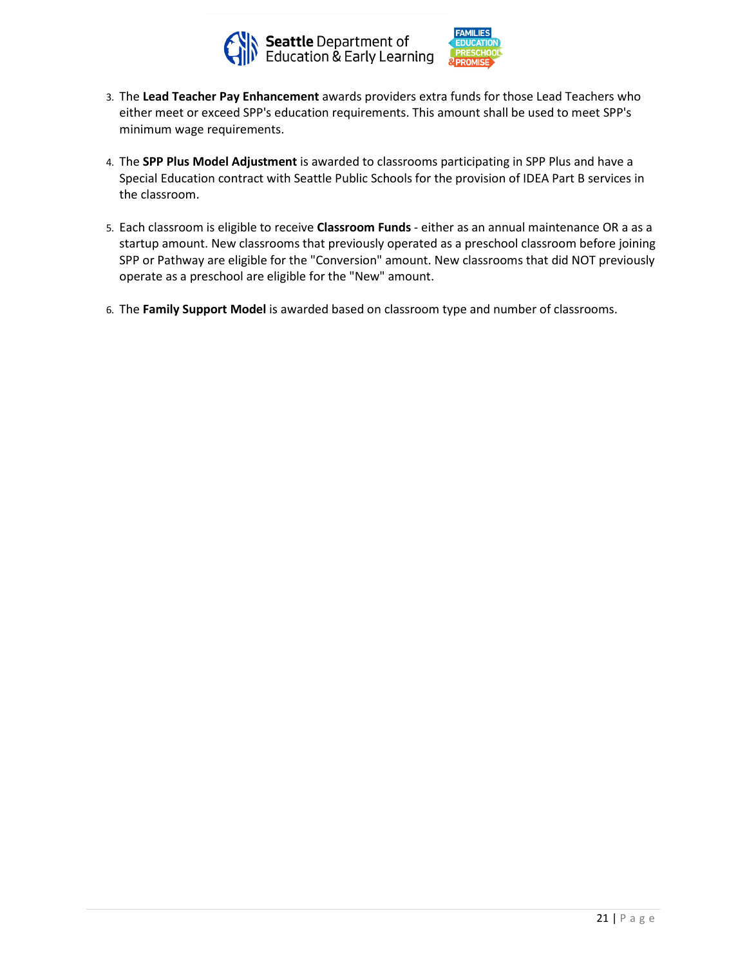



- 3. The **Lead Teacher Pay Enhancement** awards providers extra funds for those Lead Teachers who either meet or exceed SPP's education requirements. This amount shall be used to meet SPP's minimum wage requirements.
- 4. The **SPP Plus Model Adjustment** is awarded to classrooms participating in SPP Plus and have a Special Education contract with Seattle Public Schools for the provision of IDEA Part B services in the classroom.
- 5. Each classroom is eligible to receive **Classroom Funds**  either as an annual maintenance OR a as a startup amount. New classrooms that previously operated as a preschool classroom before joining SPP or Pathway are eligible for the "Conversion" amount. New classrooms that did NOT previously operate as a preschool are eligible for the "New" amount.
- 6. The **Family Support Model** is awarded based on classroom type and number of classrooms.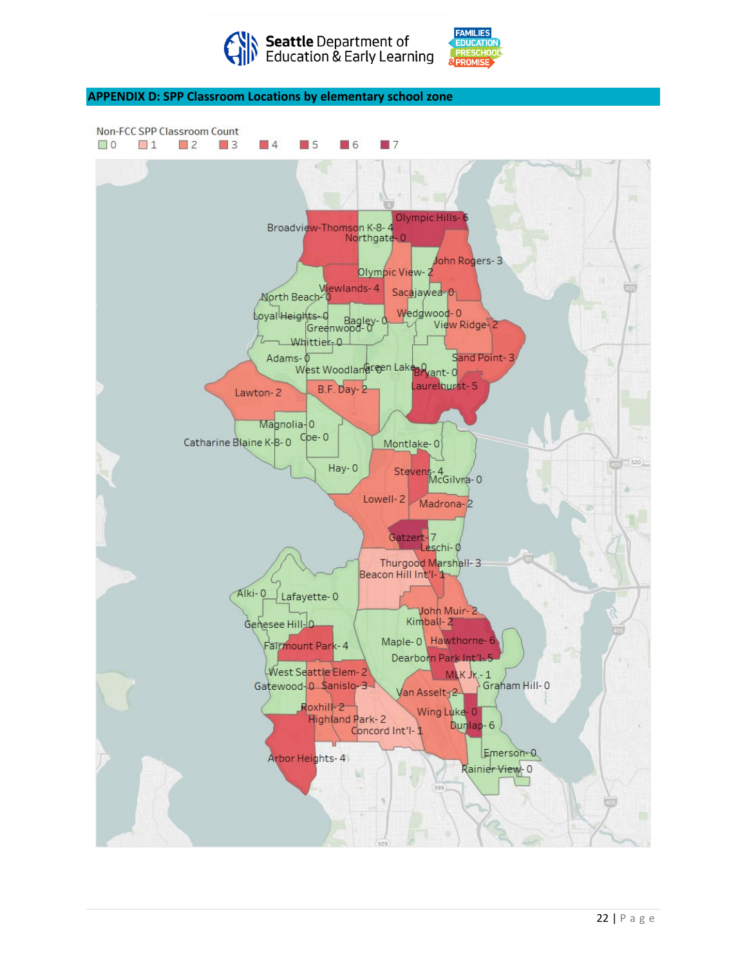

AMILIF!

**APPENDIX D: SPP Classroom Locations by elementary school zone**

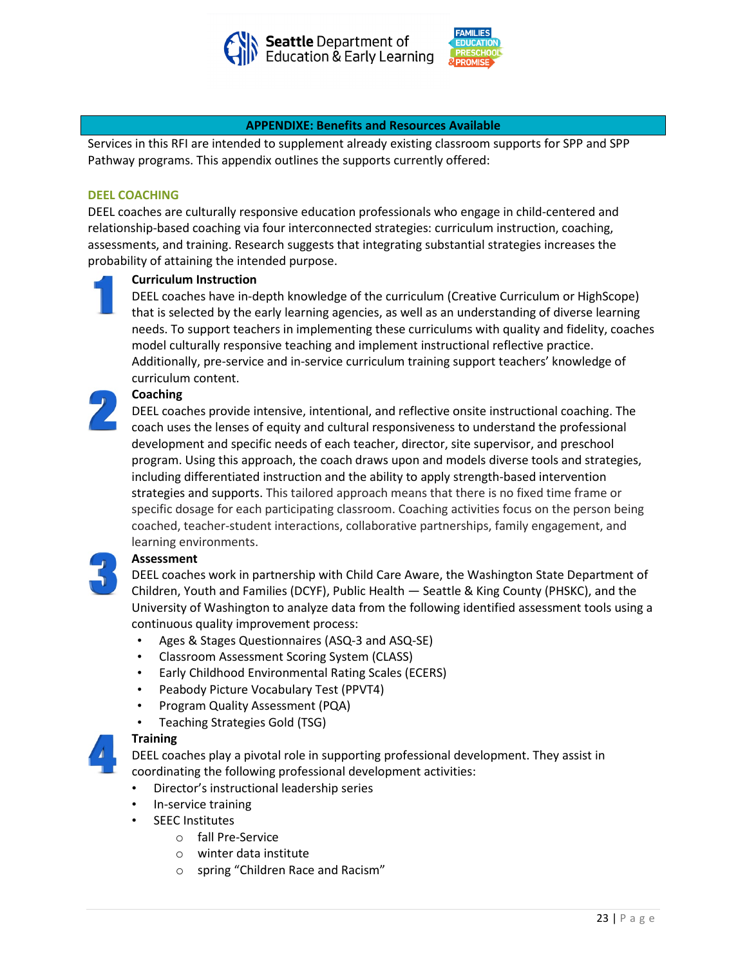



#### **APPENDIXE: Benefits and Resources Available**

Services in this RFI are intended to supplement already existing classroom supports for SPP and SPP Pathway programs. This appendix outlines the supports currently offered:

#### **DEEL COACHING**

DEEL coaches are culturally responsive education professionals who engage in child-centered and relationship-based coaching via four interconnected strategies: curriculum instruction, coaching, assessments, and training. Research suggests that integrating substantial strategies increases the probability of attaining the intended purpose.

#### **Curriculum Instruction**

DEEL coaches have in-depth knowledge of the curriculum (Creative Curriculum or HighScope) that is selected by the early learning agencies, as well as an understanding of diverse learning needs. To support teachers in implementing these curriculums with quality and fidelity, coaches model culturally responsive teaching and implement instructional reflective practice. Additionally, pre-service and in-service curriculum training support teachers' knowledge of curriculum content.

## **Coaching**

DEEL coaches provide intensive, intentional, and reflective onsite instructional coaching. The coach uses the lenses of equity and cultural responsiveness to understand the professional development and specific needs of each teacher, director, site supervisor, and preschool program. Using this approach, the coach draws upon and models diverse tools and strategies, including differentiated instruction and the ability to apply strength-based intervention strategies and supports. This tailored approach means that there is no fixed time frame or specific dosage for each participating classroom. Coaching activities focus on the person being coached, teacher-student interactions, collaborative partnerships, family engagement, and learning environments.

## **Assessment**

DEEL coaches work in partnership with Child Care Aware, the Washington State Department of Children, Youth and Families (DCYF), Public Health — Seattle & King County (PHSKC), and the University of Washington to analyze data from the following identified assessment tools using a continuous quality improvement process:

- Ages & Stages Questionnaires (ASQ-3 and ASQ-SE)
- Classroom Assessment Scoring System (CLASS)
- Early Childhood Environmental Rating Scales (ECERS)
- Peabody Picture Vocabulary Test (PPVT4)
- Program Quality Assessment (PQA)
- Teaching Strategies Gold (TSG)



## **Training**

DEEL coaches play a pivotal role in supporting professional development. They assist in coordinating the following professional development activities:

- Director's instructional leadership series
- In-service training
- **SEEC Institutes** 
	- o fall Pre-Service
	- o winter data institute
	- o spring "Children Race and Racism"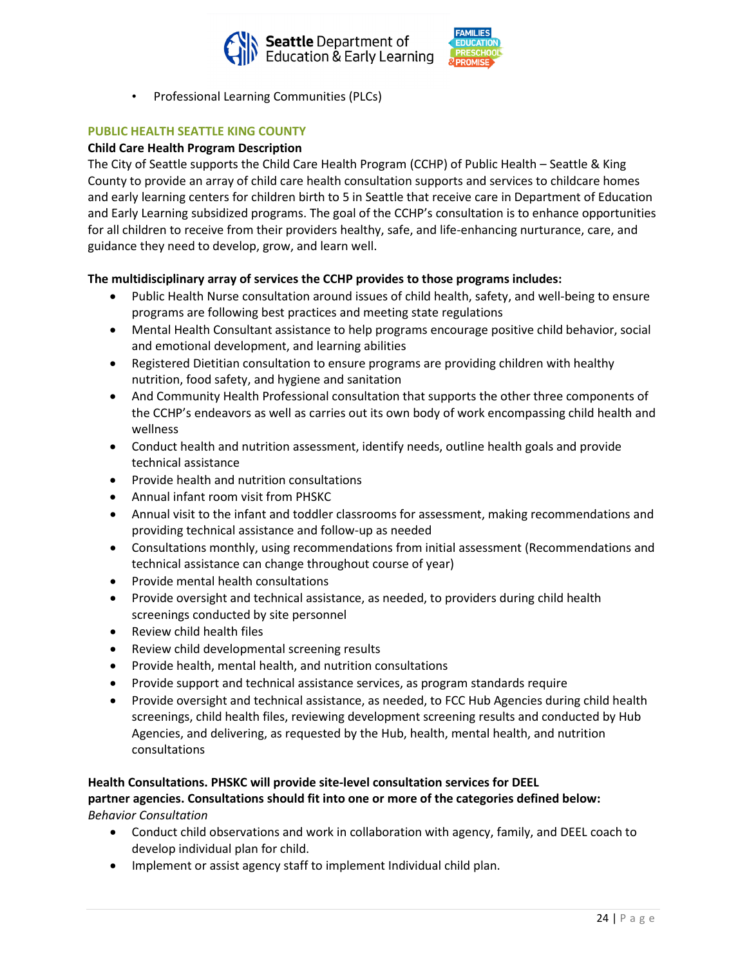



• Professional Learning Communities (PLCs)

## **PUBLIC HEALTH SEATTLE KING COUNTY**

## **Child Care Health Program Description**

The City of Seattle supports the Child Care Health Program (CCHP) of Public Health – Seattle & King County to provide an array of child care health consultation supports and services to childcare homes and early learning centers for children birth to 5 in Seattle that receive care in Department of Education and Early Learning subsidized programs. The goal of the CCHP's consultation is to enhance opportunities for all children to receive from their providers healthy, safe, and life-enhancing nurturance, care, and guidance they need to develop, grow, and learn well.

## **The multidisciplinary array of services the CCHP provides to those programs includes:**

- Public Health Nurse consultation around issues of child health, safety, and well-being to ensure programs are following best practices and meeting state regulations
- Mental Health Consultant assistance to help programs encourage positive child behavior, social and emotional development, and learning abilities
- Registered Dietitian consultation to ensure programs are providing children with healthy nutrition, food safety, and hygiene and sanitation
- And Community Health Professional consultation that supports the other three components of the CCHP's endeavors as well as carries out its own body of work encompassing child health and wellness
- Conduct health and nutrition assessment, identify needs, outline health goals and provide technical assistance
- Provide health and nutrition consultations
- Annual infant room visit from PHSKC
- Annual visit to the infant and toddler classrooms for assessment, making recommendations and providing technical assistance and follow-up as needed
- Consultations monthly, using recommendations from initial assessment (Recommendations and technical assistance can change throughout course of year)
- Provide mental health consultations
- Provide oversight and technical assistance, as needed, to providers during child health screenings conducted by site personnel
- Review child health files
- Review child developmental screening results
- Provide health, mental health, and nutrition consultations
- Provide support and technical assistance services, as program standards require
- Provide oversight and technical assistance, as needed, to FCC Hub Agencies during child health screenings, child health files, reviewing development screening results and conducted by Hub Agencies, and delivering, as requested by the Hub, health, mental health, and nutrition consultations

## **Health Consultations. PHSKC will provide site-level consultation services for DEEL**

## **partner agencies. Consultations should fit into one or more of the categories defined below:** *Behavior Consultation*

- Conduct child observations and work in collaboration with agency, family, and DEEL coach to develop individual plan for child.
- Implement or assist agency staff to implement Individual child plan.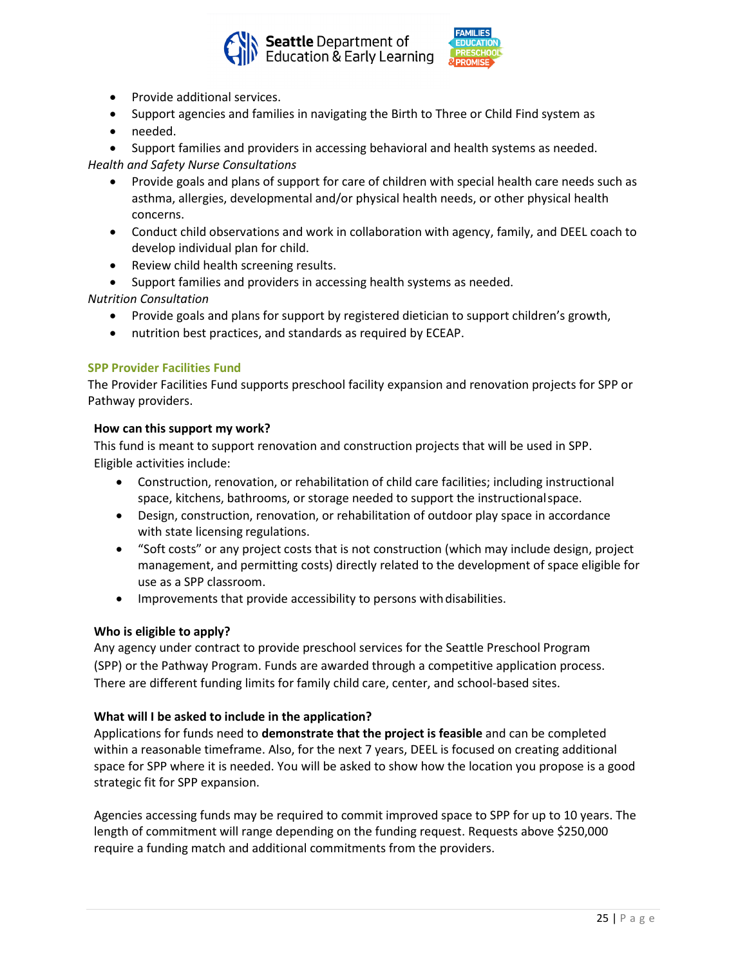



- Provide additional services.
- Support agencies and families in navigating the Birth to Three or Child Find system as
- needed.

• Support families and providers in accessing behavioral and health systems as needed. *Health and Safety Nurse Consultations*

- Provide goals and plans of support for care of children with special health care needs such as asthma, allergies, developmental and/or physical health needs, or other physical health concerns.
- Conduct child observations and work in collaboration with agency, family, and DEEL coach to develop individual plan for child.
- Review child health screening results.
- Support families and providers in accessing health systems as needed.

*Nutrition Consultation*

- Provide goals and plans for support by registered dietician to support children's growth,
- nutrition best practices, and standards as required by ECEAP.

## **SPP Provider Facilities Fund**

The Provider Facilities Fund supports preschool facility expansion and renovation projects for SPP or Pathway providers.

#### **How can this support my work?**

This fund is meant to support renovation and construction projects that will be used in SPP. Eligible activities include:

- Construction, renovation, or rehabilitation of child care facilities; including instructional space, kitchens, bathrooms, or storage needed to support the instructionalspace.
- Design, construction, renovation, or rehabilitation of outdoor play space in accordance with state licensing regulations.
- "Soft costs" or any project costs that is not construction (which may include design, project management, and permitting costs) directly related to the development of space eligible for use as a SPP classroom.
- Improvements that provide accessibility to persons with disabilities.

## **Who is eligible to apply?**

Any agency under contract to provide preschool services for the Seattle Preschool Program (SPP) or the Pathway Program. Funds are awarded through a competitive application process. There are different funding limits for family child care, center, and school-based sites.

#### **What will I be asked to include in the application?**

Applications for funds need to **demonstrate that the project is feasible** and can be completed within a reasonable timeframe. Also, for the next 7 years, DEEL is focused on creating additional space for SPP where it is needed. You will be asked to show how the location you propose is a good strategic fit for SPP expansion.

Agencies accessing funds may be required to commit improved space to SPP for up to 10 years. The length of commitment will range depending on the funding request. Requests above \$250,000 require a funding match and additional commitments from the providers.